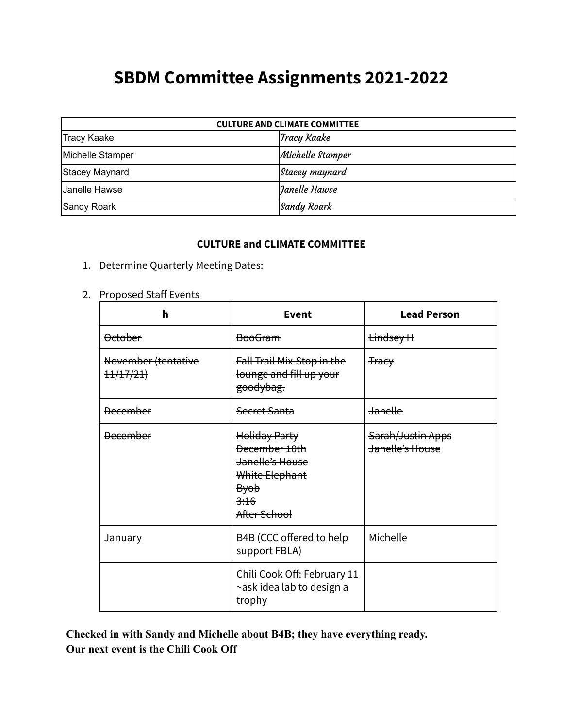## **SBDM Committee Assignments 2021-2022**

| <b>CULTURE AND CLIMATE COMMITTEE</b> |                  |  |
|--------------------------------------|------------------|--|
| <b>Tracy Kaake</b>                   | Tracy Kaake      |  |
| Michelle Stamper                     | Michelle Stamper |  |
| Stacey Maynard                       | Stacey maynard   |  |
| Janelle Hawse                        | Janelle Hawse    |  |
| Sandy Roark                          | Sandy Roark      |  |

## **CULTURE and CLIMATE COMMITTEE**

- 1. Determine Quarterly Meeting Dates:
- 2. Proposed Staff Events

| h                                           | Event                                                                                                                 | <b>Lead Person</b>                   |
|---------------------------------------------|-----------------------------------------------------------------------------------------------------------------------|--------------------------------------|
| <b>October</b>                              | <del>BooGram</del>                                                                                                    | <del>Lindsey H</del>                 |
| November (tentative<br><del>11/17/21)</del> | Fall Trail Mix-Stop in the<br>lounge and fill up your<br><del>goodybag.</del>                                         | <del>Tracy</del>                     |
| <b>December</b>                             | <del>Secret Santa</del>                                                                                               | <b>Janelle</b>                       |
| <b>December</b>                             | <b>Holiday Party</b><br>December 10th<br>Janelle's House<br>White Elephant<br><del>Byob</del><br>3:16<br>After School | Sarah/Justin Apps<br>Janelle's House |
| January                                     | B4B (CCC offered to help<br>support FBLA)                                                                             | Michelle                             |
|                                             | Chili Cook Off: February 11<br>~ask idea lab to design a<br>trophy                                                    |                                      |

**Checked in with Sandy and Michelle about B4B; they have everything ready. Our next event is the Chili Cook Off**